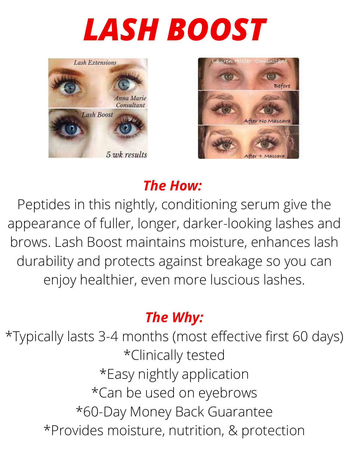# *LASH BOOST*





## *The How:*

Peptides in this nightly, conditioning serum give the appearance of fuller, longer, darker-looking lashes and brows. Lash Boost maintains moisture, enhances lash durability and protects against breakage so you can enjoy healthier, even more luscious lashes.

### *The Why:*

\*Typically lasts 3-4 months (most effective first 60 days) \*Clinically tested \*Easy nightly application \*Can be used on eyebrows \*60-Day Money Back Guarantee \*Provides moisture, nutrition, & protection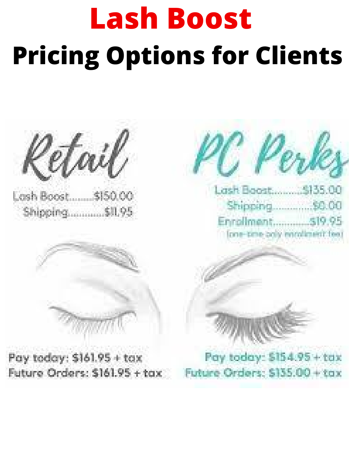# **Lash Boost Pricing Options for Clients**



Lash Boost ....... \$150.00 Shipping........... \$11.95



Pay today: \$161.95 + tax Future Orders: \$161.95 + tax





Pay today: \$154.95+tax Future Orders: \$135.00 + tax